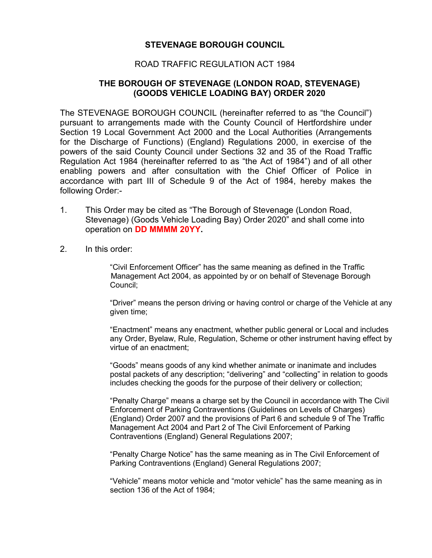## **STEVENAGE BOROUGH COUNCIL**

## ROAD TRAFFIC REGULATION ACT 1984

## **THE BOROUGH OF STEVENAGE (LONDON ROAD, STEVENAGE) (GOODS VEHICLE LOADING BAY) ORDER 2020**

The STEVENAGE BOROUGH COUNCIL (hereinafter referred to as "the Council") pursuant to arrangements made with the County Council of Hertfordshire under Section 19 Local Government Act 2000 and the Local Authorities (Arrangements for the Discharge of Functions) (England) Regulations 2000, in exercise of the powers of the said County Council under Sections 32 and 35 of the Road Traffic Regulation Act 1984 (hereinafter referred to as "the Act of 1984") and of all other enabling powers and after consultation with the Chief Officer of Police in accordance with part III of Schedule 9 of the Act of 1984, hereby makes the following Order:-

- 1. This Order may be cited as "The Borough of Stevenage (London Road, Stevenage) (Goods Vehicle Loading Bay) Order 2020" and shall come into operation on **DD MMMM 20YY.**
- 2. In this order:

"Civil Enforcement Officer" has the same meaning as defined in the Traffic Management Act 2004, as appointed by or on behalf of Stevenage Borough Council;

"Driver" means the person driving or having control or charge of the Vehicle at any given time;

"Enactment" means any enactment, whether public general or Local and includes any Order, Byelaw, Rule, Regulation, Scheme or other instrument having effect by virtue of an enactment;

"Goods" means goods of any kind whether animate or inanimate and includes postal packets of any description; "delivering" and "collecting" in relation to goods includes checking the goods for the purpose of their delivery or collection;

"Penalty Charge" means a charge set by the Council in accordance with The Civil Enforcement of Parking Contraventions (Guidelines on Levels of Charges) (England) Order 2007 and the provisions of Part 6 and schedule 9 of The Traffic Management Act 2004 and Part 2 of The Civil Enforcement of Parking Contraventions (England) General Regulations 2007;

"Penalty Charge Notice" has the same meaning as in The Civil Enforcement of Parking Contraventions (England) General Regulations 2007;

"Vehicle" means motor vehicle and "motor vehicle" has the same meaning as in section 136 of the Act of 1984;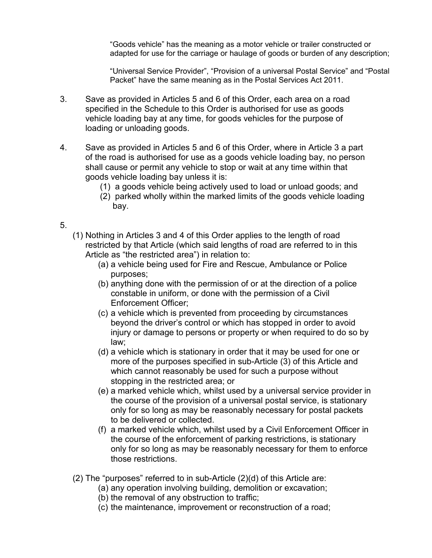"Goods vehicle" has the meaning as a motor vehicle or trailer constructed or adapted for use for the carriage or haulage of goods or burden of any description;

"Universal Service Provider", "Provision of a universal Postal Service" and "Postal Packet" have the same meaning as in the Postal Services Act 2011.

- 3. Save as provided in Articles 5 and 6 of this Order, each area on a road specified in the Schedule to this Order is authorised for use as goods vehicle loading bay at any time, for goods vehicles for the purpose of loading or unloading goods.
- 4. Save as provided in Articles 5 and 6 of this Order, where in Article 3 a part of the road is authorised for use as a goods vehicle loading bay, no person shall cause or permit any vehicle to stop or wait at any time within that goods vehicle loading bay unless it is:
	- (1) a goods vehicle being actively used to load or unload goods; and
	- (2) parked wholly within the marked limits of the goods vehicle loading bay.
- 5.
- (1) Nothing in Articles 3 and 4 of this Order applies to the length of road restricted by that Article (which said lengths of road are referred to in this Article as "the restricted area") in relation to:
	- (a) a vehicle being used for Fire and Rescue, Ambulance or Police purposes;
	- (b) anything done with the permission of or at the direction of a police constable in uniform, or done with the permission of a Civil Enforcement Officer;
	- (c) a vehicle which is prevented from proceeding by circumstances beyond the driver's control or which has stopped in order to avoid injury or damage to persons or property or when required to do so by law;
	- (d) a vehicle which is stationary in order that it may be used for one or more of the purposes specified in sub-Article (3) of this Article and which cannot reasonably be used for such a purpose without stopping in the restricted area; or
	- (e) a marked vehicle which, whilst used by a universal service provider in the course of the provision of a universal postal service, is stationary only for so long as may be reasonably necessary for postal packets to be delivered or collected.
	- (f) a marked vehicle which, whilst used by a Civil Enforcement Officer in the course of the enforcement of parking restrictions, is stationary only for so long as may be reasonably necessary for them to enforce those restrictions.
- (2) The "purposes" referred to in sub-Article (2)(d) of this Article are:
	- (a) any operation involving building, demolition or excavation;
	- (b) the removal of any obstruction to traffic;
	- (c) the maintenance, improvement or reconstruction of a road;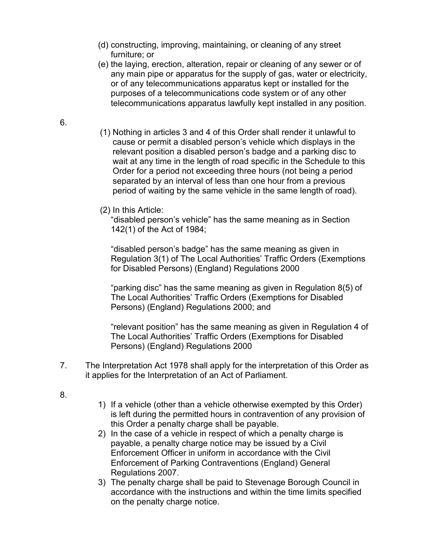- (d) constructing, improving, maintaining, or cleaning of any street furniture; or
- (e) the laying, erection, alteration, repair or cleaning of any sewer or of any main pipe or apparatus for the supply of gas, water or electricity, or of any telecommunications apparatus kept or installed for the purposes of a telecommunications code system or of any other telecommunications apparatus lawfully kept installed in any position.
- 6.
- (1) Nothing in articles 3 and 4 of this Order shall render it unlawful to cause or permit a disabled person's vehicle which displays in the relevant position a disabled person's badge and a parking disc to wait at any time in the length of road specific in the Schedule to this Order for a period not exceeding three hours (not being a period separated by an interval of less than one hour from a previous period of waiting by the same vehicle in the same length of road).
- (2) In this Article:

"disabled person's vehicle" has the same meaning as in Section 142(1) of the Act of 1984;

"disabled person's badge" has the same meaning as given in Regulation 3(1) of The Local Authorities' Traffic Orders (Exemptions for Disabled Persons) (England) Regulations 2000

"parking disc" has the same meaning as given in Regulation 8(5) of The Local Authorities' Traffic Orders (Exemptions for Disabled Persons) (England) Regulations 2000; and

"relevant position" has the same meaning as given in Regulation 4 of The Local Authorities' Traffic Orders (Exemptions for Disabled Persons) (England) Regulations 2000

- 7. The Interpretation Act 1978 shall apply for the interpretation of this Order as it applies for the Interpretation of an Act of Parliament.
- 8.
- 1) If a vehicle (other than a vehicle otherwise exempted by this Order) is left during the permitted hours in contravention of any provision of this Order a penalty charge shall be payable.
- 2) In the case of a vehicle in respect of which a penalty charge is payable, a penalty charge notice may be issued by a Civil Enforcement Officer in uniform in accordance with the Civil Enforcement of Parking Contraventions (England) General Regulations 2007.
- 3) The penalty charge shall be paid to Stevenage Borough Council in accordance with the instructions and within the time limits specified on the penalty charge notice.